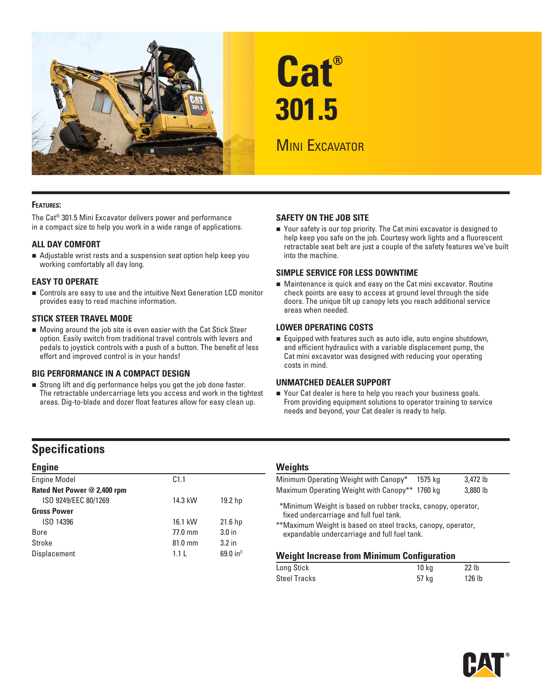

# **Cat® 301.5**

# **MINI EXCAVATOR**

#### **FEATURES:**

The Cat® 301.5 Mini Excavator delivers power and performance in a compact size to help you work in a wide range of applications.

#### **ALL DAY COMFORT**

 Adjustable wrist rests and a suspension seat option help keep you working comfortably all day long.

#### **EASY TO OPERATE**

■ Controls are easy to use and the intuitive Next Generation LCD monitor provides easy to read machine information.

#### **STICK STEER TRAVEL MODE**

 Moving around the job site is even easier with the Cat Stick Steer option. Easily switch from traditional travel controls with levers and pedals to joystick controls with a push of a button. The benefit of less effort and improved control is in your hands!

#### **BIG PERFORMANCE IN A COMPACT DESIGN**

 Strong lift and dig performance helps you get the job done faster. The retractable undercarriage lets you access and work in the tightest areas. Dig-to-blade and dozer float features allow for easy clean up.

#### **SAFETY ON THE JOB SITE**

 Your safety is our top priority. The Cat mini excavator is designed to help keep you safe on the job. Courtesy work lights and a fluorescent retractable seat belt are just a couple of the safety features we've built into the machine.

#### **SIMPLE SERVICE FOR LESS DOWNTIME**

 Maintenance is quick and easy on the Cat mini excavator. Routine check points are easy to access at ground level through the side doors. The unique tilt up canopy lets you reach additional service areas when needed.

#### **LOWER OPERATING COSTS**

Equipped with features such as auto idle, auto engine shutdown, and efficient hydraulics with a variable displacement pump, the Cat mini excavator was designed with reducing your operating costs in mind.

#### **UNMATCHED DEALER SUPPORT**

■ Your Cat dealer is here to help you reach your business goals. From providing equipment solutions to operator training to service needs and beyond, your Cat dealer is ready to help.

## **Specifications**

| <b>Engine</b>               |           |                    |
|-----------------------------|-----------|--------------------|
| <b>Engine Model</b>         | C1.1      |                    |
| Rated Net Power @ 2,400 rpm |           |                    |
| ISO 9249/EEC 80/1269        | 14.3 kW   | 19.2 <sub>hp</sub> |
| <b>Gross Power</b>          |           |                    |
| ISO 14396                   | 16.1 kW   | 21.6 <sub>hp</sub> |
| Bore                        | $77.0$ mm | 3.0 <sub>in</sub>  |
| Stroke                      | $81.0$ mm | 3.2 <sub>in</sub>  |
| Displacement                | 1.11      | 69.0 $in^3$        |

#### **Weights**

| Minimum Operating Weight with Canopy* 1575 kg                                                                |  | 3,472 lb |  |  |  |  |  |  |
|--------------------------------------------------------------------------------------------------------------|--|----------|--|--|--|--|--|--|
| Maximum Operating Weight with Canopy** 1760 kg                                                               |  | 3,880 lb |  |  |  |  |  |  |
| *Minimum Weight is based on rubber tracks, canopy, operator,<br>fixed undercarriage and full fuel tank.      |  |          |  |  |  |  |  |  |
| **Maximum Weight is based on steel tracks, canopy, operator,<br>expandable undercarriage and full fuel tank. |  |          |  |  |  |  |  |  |
| <b>Weight Increase from Minimum Configuration</b>                                                            |  |          |  |  |  |  |  |  |

| Long Stick   | 10 ka | 22 lb             |
|--------------|-------|-------------------|
| Steel Tracks | 57 kg | 126 <sub>1b</sub> |

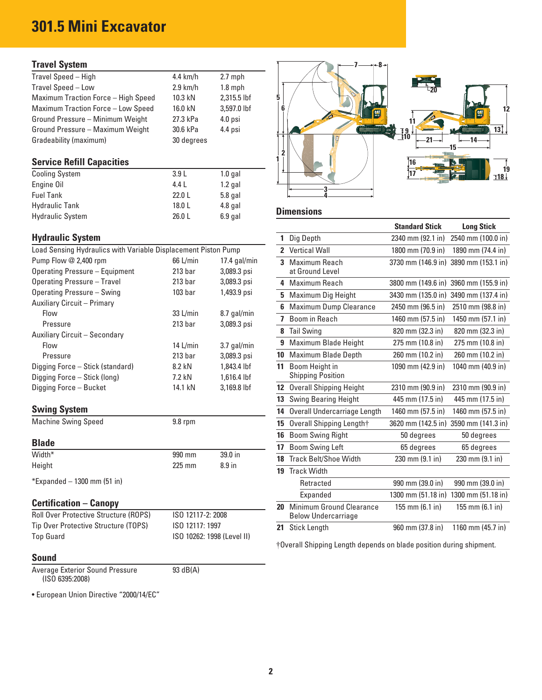# **301.5 Mini Excavator**

### **Travel System**

| Travel Speed - High                        | $4.4$ km/h | $2.7$ mph   |  |  |       |
|--------------------------------------------|------------|-------------|--|--|-------|
| Travel Speed - Low                         | $2.9$ km/h | $1.8$ mph   |  |  | $-20$ |
| <b>Maximum Traction Force - High Speed</b> | 10.3 kN    | 2,315.5 lbf |  |  |       |
| Maximum Traction Force - Low Speed         | 16.0 kN    | 3.597.0 lbf |  |  |       |
| Ground Pressure - Minimum Weight           | 27.3 kPa   | $4.0$ psi   |  |  |       |
| Ground Pressure - Maximum Weight           | 30.6 kPa   | 4.4 psi     |  |  |       |
| Gradeability (maximum)                     | 30 degrees |             |  |  |       |

| <b>Cooling System</b>   | 3.9L   | $1.0$ gal |                   |
|-------------------------|--------|-----------|-------------------|
| Engine Oil              | 4.4 L  | $1.2$ gal |                   |
| <b>Fuel Tank</b>        | 22.0L  | $5.8$ gal |                   |
| <b>Hydraulic Tank</b>   | 18.0 L | $4.8$ gal |                   |
| <b>Hydraulic System</b> | 26.0L  | $6.9$ gal | <b>Dimensions</b> |

### **Hydraulic System**

| Load Sensing Hydraulics with Variable Displacement Piston Pump |                    |                | 2 Vertical Wall          |
|----------------------------------------------------------------|--------------------|----------------|--------------------------|
| Pump Flow @ 2,400 rpm                                          | 66 L/min           | $17.4$ gal/min | 3 Maximum Reach          |
| Operating Pressure - Equipment                                 | 213 <sub>bar</sub> | 3,089.3 psi    | at Ground Level          |
| Operating Pressure - Travel                                    | 213 <sub>bar</sub> | 3,089.3 psi    | 4 Maximum Reach          |
| Operating Pressure - Swing                                     | 103 <sub>bar</sub> | 1,493.9 psi    | 5 Maximum Dig Hei        |
| <b>Auxiliary Circuit - Primary</b>                             |                    |                | 6 Maximum Dump C         |
| <b>Flow</b>                                                    | 33 L/min           | 8.7 gal/min    | 7 Boom in Reach          |
| Pressure                                                       | 213 <sub>bar</sub> | 3,089.3 psi    |                          |
| Auxiliary Circuit - Secondary                                  |                    |                | 8 Tail Swing             |
| <b>Flow</b>                                                    | 14 $L/min$         | 3.7 gal/min    | 9 Maximum Blade H        |
| Pressure                                                       | 213 <sub>bar</sub> | 3,089.3 psi    | 10 Maximum Blade D       |
| Digging Force - Stick (standard)                               | 8.2 kN             | 1,843,4 lbf    | 11 Boom Height in        |
| Digging Force - Stick (long)                                   | 7.2 kN             | $1.616.4$ lbf  | <b>Shipping Position</b> |
| Digging Force - Bucket                                         | 14.1 kN            | 3,169.8 lbf    | 12 Overall Shipping H    |
|                                                                |                    |                | 13 Swing Bearing He      |

### **Swing System**

|        |        |                   | <b>DOOTH OWNIG LETT</b>         | <b>UJUEULEES</b>                  | <b>UJUEUIEES</b>                  |
|--------|--------|-------------------|---------------------------------|-----------------------------------|-----------------------------------|
|        |        |                   |                                 |                                   |                                   |
| Width* | 990 mm | 39.0 in           | <b>18</b> Track Belt/Shoe Width | $230 \text{ mm} (9.1 \text{ in})$ | $230 \text{ mm} (9.1 \text{ in})$ |
| Height | 225 mm | 8.9 <sub>in</sub> |                                 |                                   |                                   |
|        |        |                   | Track Width                     |                                   |                                   |

### **Certification – Canopy**

| <b>Roll Over Protective Structure (ROPS)</b> | ISO 12117-2: 2008          |  | Below Undercarriage                                              |  |  |  |                  |  |                             |
|----------------------------------------------|----------------------------|--|------------------------------------------------------------------|--|--|--|------------------|--|-----------------------------|
| Tip Over Protective Structure (TOPS)         | ISO 12117: 1997            |  | 21 Stick Length                                                  |  |  |  | 960 mm (37.8 in) |  | 1160 mm $(45.7 \text{ in})$ |
| Top Guard                                    | ISO 10262: 1998 (Level II) |  | $\mathbf{u}$ $\mathbf{v}$ $\mathbf{v}$ $\mathbf{v}$ $\mathbf{v}$ |  |  |  |                  |  |                             |

#### **Sound**

Average Exterior Sound Pressure 93 dB(A) (ISO 6395:2008)

• European Union Directive "2000/14/EC"



|                                                                  |                    |                            |              |                                            | <b>Standard Stick</b> | <b>Long Stick</b>                     |
|------------------------------------------------------------------|--------------------|----------------------------|--------------|--------------------------------------------|-----------------------|---------------------------------------|
| <b>Hydraulic System</b>                                          |                    |                            | $\mathbf{1}$ | Dig Depth                                  | 2340 mm (92.1 in)     | 2540 mm (100.0 in)                    |
| Load Sensing Hydraulics with Variable Displacement Piston Pump   |                    |                            |              | 2 Vertical Wall                            | 1800 mm (70.9 in)     | 1890 mm (74.4 in)                     |
| Pump Flow @ 2,400 rpm                                            | 66 L/min           | $17.4$ gal/min             |              | 3 Maximum Reach                            |                       | 3730 mm (146.9 in) 3890 mm (153.1 in) |
| <b>Operating Pressure - Equipment</b>                            | 213 <sub>bar</sub> | 3,089.3 psi                |              | at Ground Level                            |                       |                                       |
| <b>Operating Pressure - Travel</b>                               | 213 <sub>bar</sub> | 3,089.3 psi                |              | 4 Maximum Reach                            |                       | 3800 mm (149.6 in) 3960 mm (155.9 in) |
| Operating Pressure - Swing                                       | 103 <sub>bar</sub> | 1,493.9 psi                |              | 5 Maximum Dig Height                       |                       | 3430 mm (135.0 in) 3490 mm (137.4 in) |
| Auxiliary Circuit – Primary                                      |                    |                            |              | 6 Maximum Dump Clearance                   | 2450 mm (96.5 in)     | 2510 mm (98.8 in)                     |
| Flow                                                             | 33 L/min           | 8.7 gal/min                |              | 7 Boom in Reach                            | 1460 mm (57.5 in)     | 1450 mm (57.1 in)                     |
| Pressure                                                         | 213 <sub>bar</sub> | 3,089.3 psi                |              | 8 Tail Swing                               | 820 mm (32.3 in)      | 820 mm (32.3 in)                      |
| Auxiliary Circuit - Secondary<br>Flow                            | $14$ L/min         | 3.7 gal/min                |              | 9 Maximum Blade Height                     | 275 mm (10.8 in)      | 275 mm (10.8 in)                      |
| Pressure                                                         | 213 <sub>bar</sub> | 3,089.3 psi                |              | 10 Maximum Blade Depth                     | 260 mm (10.2 in)      | 260 mm (10.2 in)                      |
| Digging Force - Stick (standard)<br>Digging Force - Stick (long) | 8.2 kN<br>7.2 kN   | 1,843.4 lbf<br>1,616.4 lbf | 11           | Boom Height in<br><b>Shipping Position</b> | 1090 mm (42.9 in)     | 1040 mm (40.9 in)                     |
| Digging Force - Bucket                                           | 14.1 kN            | 3,169.8 lbf                |              | 12 Overall Shipping Height                 | 2310 mm (90.9 in)     | 2310 mm (90.9 in)                     |
|                                                                  |                    |                            |              | <b>13</b> Swing Bearing Height             | 445 mm (17.5 in)      | 445 mm (17.5 in)                      |
| <b>Swing System</b>                                              |                    |                            | 14           | Overall Undercarriage Length               | 1460 mm (57.5 in)     | 1460 mm (57.5 in)                     |
| <b>Machine Swing Speed</b>                                       | $9.8$ rpm          |                            |              | 15 Overall Shipping Length†                |                       | 3620 mm (142.5 in) 3590 mm (141.3 in) |
|                                                                  |                    |                            | 16           | <b>Boom Swing Right</b>                    | 50 degrees            | 50 degrees                            |
| <b>Blade</b>                                                     |                    |                            | 17           | <b>Boom Swing Left</b>                     | 65 degrees            | 65 degrees                            |
| Width*                                                           | 990 mm             | 39.0 in                    |              | 18 Track Belt/Shoe Width                   | 230 mm (9.1 in)       | 230 mm (9.1 in)                       |
| Height                                                           | 225 mm             | 8.9 in                     |              | 19 Track Width                             |                       |                                       |
| *Expanded – 1300 mm (51 in)                                      |                    |                            |              | Retracted                                  | 990 mm (39.0 in)      | 990 mm (39.0 in)                      |
|                                                                  |                    |                            |              | Expanded                                   | 1300 mm (51.18 in)    | 1300 mm (51.18 in)                    |
| <b>Certification - Canopy</b>                                    |                    |                            | 20           | Minimum Ground Clearance                   | 155 mm (6.1 in)       | 155 mm (6.1 in)                       |
| Roll Over Protective Structure (ROPS)                            | ISO 12117-2: 2008  |                            |              | <b>Below Undercarriage</b>                 |                       |                                       |
| Tip Over Protective Structure (TOPS)                             | ISO 12117: 1997    |                            | 21           | <b>Stick Length</b>                        | 960 mm (37.8 in)      | 1160 mm (45.7 in)                     |

† Overall Shipping Length depends on blade position during shipment.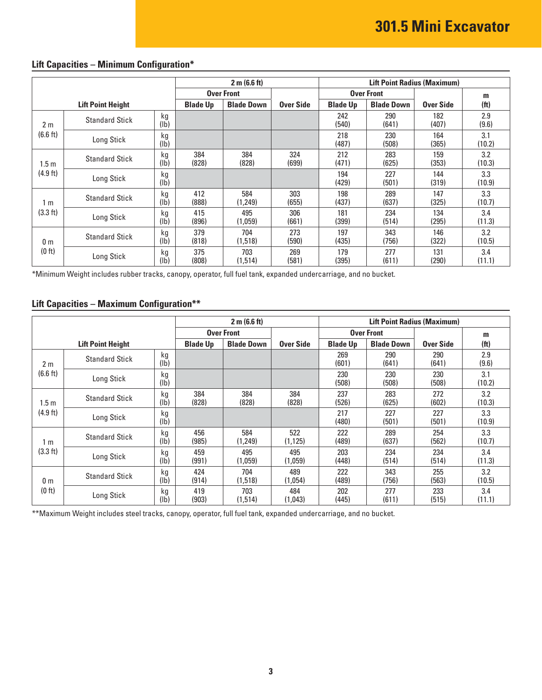| <b>Lift Capacities - Minimum Configuration*</b> |  |
|-------------------------------------------------|--|
|-------------------------------------------------|--|

|                | 2 m (6.6 ft)             |            |                   |                   |              |                 | <b>Lift Point Radius (Maximum)</b> |                  |                   |  |  |
|----------------|--------------------------|------------|-------------------|-------------------|--------------|-----------------|------------------------------------|------------------|-------------------|--|--|
|                |                          |            | <b>Over Front</b> |                   |              |                 | <b>Over Front</b>                  |                  | m                 |  |  |
|                | <b>Lift Point Height</b> |            | <b>Blade Up</b>   | <b>Blade Down</b> | Over Side    | <b>Blade Up</b> | <b>Blade Down</b>                  | <b>Over Side</b> | (f <sup>t</sup> ) |  |  |
| 2 <sub>m</sub> | <b>Standard Stick</b>    | kg<br>(lb) |                   |                   |              | 242<br>(540)    | 290<br>(641)                       | 182<br>(407)     | 2.9<br>(9.6)      |  |  |
| (6.6 ft)       | Long Stick               | kg<br>(lb) |                   |                   |              | 218<br>(487)    | 230<br>(508)                       | 164<br>(365)     | 3.1<br>(10.2)     |  |  |
| 1.5 m          | <b>Standard Stick</b>    | kg<br>(lb) | 384<br>(828)      | 384<br>(828)      | 324<br>(699) | 212<br>(471)    | 283<br>(625)                       | 159<br>(353)     | 3.2<br>(10.3)     |  |  |
| (4.9 ft)       | Long Stick               | kg<br>(1b) |                   |                   |              | 194<br>(429)    | 227<br>(501)                       | 144<br>(319)     | 3.3<br>(10.9)     |  |  |
| 1 m            | <b>Standard Stick</b>    | kg<br>(lb) | 412<br>(888)      | 584<br>(1,249)    | 303<br>(655) | 198<br>(437)    | 289<br>(637)                       | 147<br>(325)     | 3.3<br>(10.7)     |  |  |
| (3.3 ft)       | Long Stick               | kg<br>(lb) | 415<br>(896)      | 495<br>(1,059)    | 306<br>(661) | 181<br>(399)    | 234<br>(514)                       | 134<br>(295)     | 3.4<br>(11.3)     |  |  |
| 0 <sub>m</sub> | <b>Standard Stick</b>    | kg<br>(lb) | 379<br>(818)      | 704<br>(1,518)    | 273<br>(590) | 197<br>(435)    | 343<br>(756)                       | 146<br>(322)     | 3.2<br>(10.5)     |  |  |
| (0 ft)         | Long Stick               | kg<br>(lb) | 375<br>(808)      | 703<br>(1,514)    | 269<br>(581) | 179<br>(395)    | 277<br>(611)                       | 131<br>(290)     | 3.4<br>(11.1)     |  |  |

\*Minimum Weight includes rubber tracks, canopy, operator, full fuel tank, expanded undercarriage, and no bucket.

### **Lift Capacities – Maximum Configuration\*\***

|                    |                          |                         |                 | 2 m (6.6 ft)      |                  | <b>Lift Point Radius (Maximum)</b> |                   |                  |                   |
|--------------------|--------------------------|-------------------------|-----------------|-------------------|------------------|------------------------------------|-------------------|------------------|-------------------|
|                    |                          |                         |                 | <b>Over Front</b> |                  |                                    | <b>Over Front</b> |                  | m                 |
|                    | <b>Lift Point Height</b> |                         | <b>Blade Up</b> | <b>Blade Down</b> | <b>Over Side</b> | <b>Blade Up</b>                    | <b>Blade Down</b> | <b>Over Side</b> | (f <sup>t</sup> ) |
| 2 <sub>m</sub>     | <b>Standard Stick</b>    | kg<br>(1b)              |                 |                   |                  | 269<br>(601)                       | 290<br>(641)      | 290<br>(641)     | 2.9<br>(9.6)      |
| (6.6 ft)           | Long Stick               | kg<br>(1b)              |                 |                   |                  | 230<br>(508)                       | 230<br>(508)      | 230<br>(508)     | 3.1<br>(10.2)     |
| 1.5 <sub>m</sub>   | <b>Standard Stick</b>    | kg<br>(lb)              | 384<br>(828)    | 384<br>(828)      | 384<br>(828)     | 237<br>(526)                       | 283<br>(625)      | 272<br>(602)     | 3.2<br>(10.3)     |
| $(4.9 \text{ ft})$ | Long Stick               | kg<br>(lb)              |                 |                   |                  | 217<br>(480)                       | 227<br>(501)      | 227<br>(501)     | 3.3<br>(10.9)     |
| 1 <sub>m</sub>     | <b>Standard Stick</b>    | kg<br>(lb)              | 456<br>(985)    | 584<br>(1,249)    | 522<br>(1, 125)  | 222<br>(489)                       | 289<br>(637)      | 254<br>(562)     | 3.3<br>(10.7)     |
| (3.3 ft)           | Long Stick               | kg<br>(1 <sub>b</sub> ) | 459<br>(991)    | 495<br>(1,059)    | 495<br>(1,059)   | 203<br>(448)                       | 234<br>(514)      | 234<br>(514)     | 3.4<br>(11.3)     |
| 0 <sub>m</sub>     | <b>Standard Stick</b>    | kg<br>$(\mathsf{lb})$   | 424<br>(914)    | 704<br>(1,518)    | 489<br>(1,054)   | 222<br>(489)                       | 343<br>(756)      | 255<br>(563)     | 3.2<br>(10.5)     |
| (0 ft)             | Long Stick               | kg<br>$(\mathsf{lb})$   | 419<br>(903)    | 703<br>(1,514)    | 484<br>(1,043)   | 202<br>(445)                       | 277<br>(611)      | 233<br>(515)     | 3.4<br>(11.1)     |

\*\* Maximum Weight includes steel tracks, canopy, operator, full fuel tank, expanded undercarriage, and no bucket.